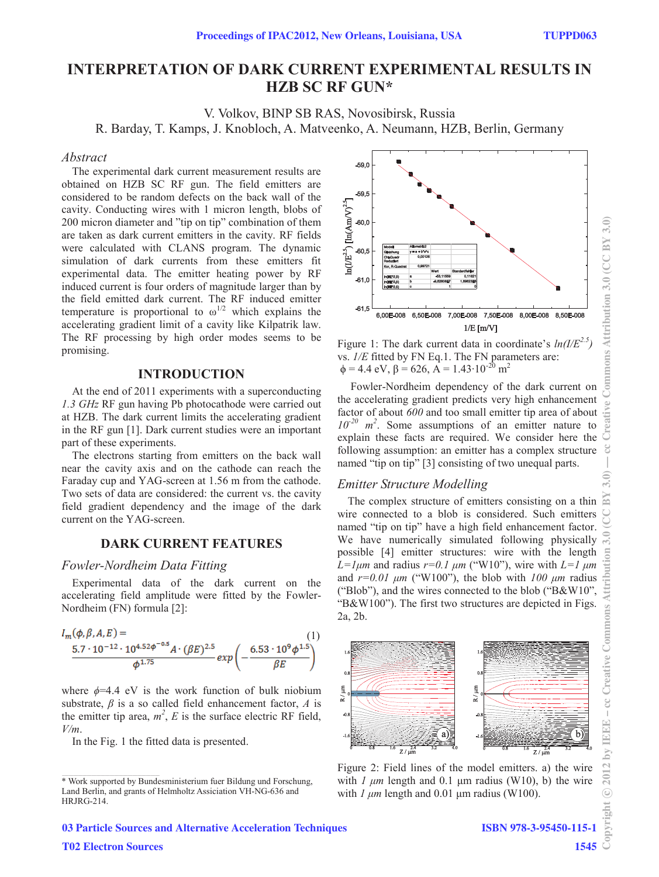# **INTERPRETATION OF DARK CURRENT EXPERIMENTAL RESULTS IN HZB SC RF GUN\***

V. Volkov, BINP SB RAS, Novosibirsk, Russia

R. Barday, T. Kamps, J. Knobloch, A. Matveenko, A. Neumann, HZB, Berlin, Germany

#### *Abstract*

The experimental dark current measurement results are obtained on HZB SC RF gun. The field emitters are considered to be random defects on the back wall of the cavity. Conducting wires with 1 micron length, blobs of 200 micron diameter and "tip on tip" combination of them are taken as dark current emitters in the cavity. RF fields were calculated with CLANS program. The dynamic simulation of dark currents from these emitters fit experimental data. The emitter heating power by RF induced current is four orders of magnitude larger than by the field emitted dark current. The RF induced emitter temperature is proportional to  $\omega^{1/2}$  which explains the accelerating gradient limit of a cavity like Kilpatrik law. The RF processing by high order modes seems to be promising.

#### **INTRODUCTION**

At the end of 2011 experiments with a superconducting *1.3 GHz* RF gun having Pb photocathode were carried out at HZB. The dark current limits the accelerating gradient in the RF gun [1]. Dark current studies were an important part of these experiments.

The electrons starting from emitters on the back wall near the cavity axis and on the cathode can reach the Faraday cup and YAG-screen at 1.56 m from the cathode. Two sets of data are considered: the current vs. the cavity field gradient dependency and the image of the dark current on the YAG-screen.

# **DARK CURRENT FEATURES**

## *Fowler-Nordheim Data Fitting*

Experimental data of the dark current on the accelerating field amplitude were fitted by the Fowler-Nordheim (FN) formula [2]:



where  $\phi$ =4.4 eV is the work function of bulk niobium substrate,  $\beta$  is a so called field enhancement factor,  $\Lambda$  is the emitter tip area,  $m^2$ ,  $E$  is the surface electric RF field, *V/m*.

In the Fig. 1 the fitted data is presented.



Figure 1: The dark current data in coordinate's  $ln(I/E^{2.5})$ vs. *1/E* fitted by FN Eq.1. The FN parameters are:  $\phi = 4.4$  eV,  $\beta = 626$ ,  $\overline{A} = 1.43 \cdot 10^{-20}$  m<sup>2</sup>

 Fowler-Nordheim dependency of the dark current on the accelerating gradient predicts very high enhancement factor of about *600* and too small emitter tip area of about  $10^{-20}$  m<sup>2</sup>. Some assumptions of an emitter nature to explain these facts are required. We consider here the following assumption: an emitter has a complex structure named "tip on tip" [3] consisting of two unequal parts.

## *Emitter Structure Modelling*

The complex structure of emitters consisting on a thin wire connected to a blob is considered. Such emitters named "tip on tip" have a high field enhancement factor. We have numerically simulated following physically possible [4] emitter structures: wire with the length  $L = l \mu m$  and radius  $r = 0.1 \mu m$  ("W10"), wire with  $L = l \mu m$ and  $r=0.01 \mu m$  ("W100"), the blob with  $100 \mu m$  radius ("Blob"), and the wires connected to the blob ("B&W10", "B&W100"). The first two structures are depicted in Figs. 2a, 2b.



Figure 2: Field lines of the model emitters. a) the wire with  $1 \mu m$  length and 0.1  $\mu m$  radius (W10), b) the wire with  $1 \mu m$  length and 0.01  $\mu$ m radius (W100).

<sup>\*</sup> Work supported by Bundesministerium fuer Bildung und Forschung, Land Berlin, and grants of Helmholtz Assiciation VH-NG-636 and HRJRG-214.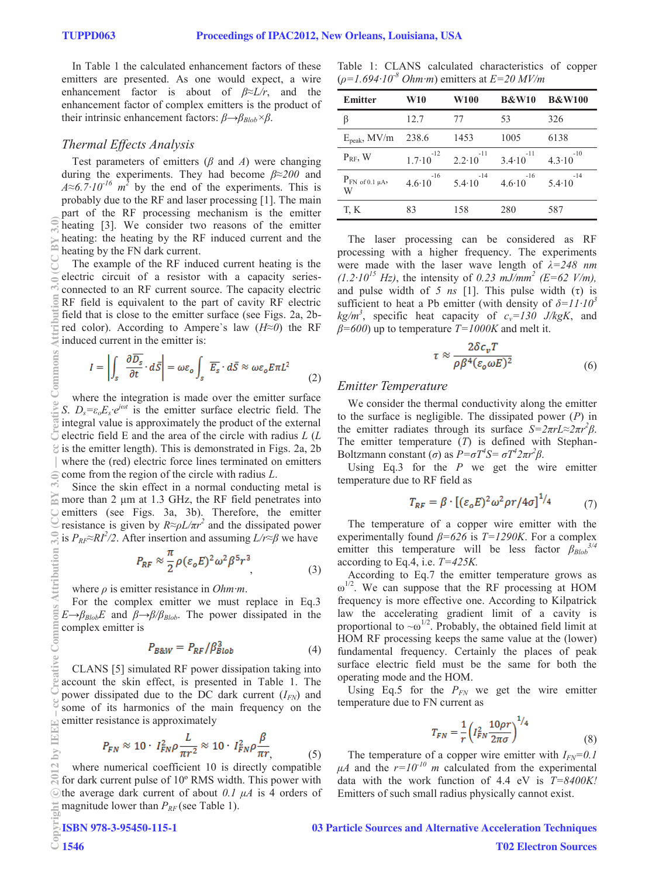In Table 1 the calculated enhancement factors of these emitters are presented. As one would expect, a wire enhancement factor is about of *β≈L/r*, and the enhancement factor of complex emitters is the product of their intrinsic enhancement factors: *β→βBlob×β*.

# *Thermal Effects Analysis*

Test parameters of emitters (*β* and *A*) were changing during the experiments. They had become *β≈200* and  $A \approx 6.7 \cdot 10^{-16}$  *m*<sup>2</sup> by the end of the experiments. This is probably due to the RF and laser processing [1]. The main part of the RF processing mechanism is the emitter heating [3]. We consider two reasons of the emitter heating: the heating by the RF induced current and the heating by the FN dark current.

The example of the RF induced current heating is the electric circuit of a resistor with a capacity seriesconnected to an RF current source. The capacity electric RF field is equivalent to the part of cavity RF electric field that is close to the emitter surface (see Figs. 2a, 2bred color). According to Ampere`s law (*H≈0*) the RF induced current in the emitter is: (0)\$^A[0]) 0)\$ not common strommon strommon at the common strommon at the common strommon strommon at the common strommon at the common strommon at the common strommon at the common strommon at the common strommon at the

$$
I = \left| \int_{\mathcal{S}} \left| \frac{\partial \overline{D_{\mathcal{S}}}}{\partial t} \cdot d\overline{S} \right| = \omega \varepsilon_o \int_{\mathcal{S}} \overline{E_{\mathcal{S}}} \cdot d\overline{S} \approx \omega \varepsilon_o E \pi L^2 \tag{2}
$$

where the integration is made over the emitter surface *S.*  $D_s = \varepsilon_o E_s \cdot e^{j\omega t}$  is the emitter surface electric field. The integral value is approximately the product of the external  $\overline{C}$  electric field E and the area of the circle with radius *L* (*L*  $\geq$  is the emitter length). This is demonstrated in Figs. 2a, 2b where the (red) electric force lines terminated on emitters  $\epsilon$  come from the region of the circle with radius *L*.

Since the skin effect in a normal conducting metal is  $\approx$  more than 2 µm at 1.3 GHz, the RF field penetrates into emitters (see Figs. 3a, 3b). Therefore, the emitter resistance is given by  $R \approx \rho L / \pi r^2$  and the dissipated power is  $P_{RF} \approx R I^2 / 2$ . After insertion and assuming  $L / r \approx \beta$  we have

$$
P_{RF} \approx \frac{\pi}{2} \rho (\varepsilon_o E)^2 \omega^2 \beta^5 r^3 \tag{3}
$$

where *ρ* is emitter resistance in *Ohm·m*.

For the complex emitter we must replace in Eq.3  $E \rightarrow \beta_{Blob} E$  and  $\beta \rightarrow \beta/\beta_{Blob}$ . The power dissipated in the complex emitter is

$$
P_{B\&W} = P_{RF} / \beta_{Blob}^3 \tag{4}
$$

CLANS [5] simulated RF power dissipation taking into account the skin effect, is presented in Table 1. The power dissipated due to the DC dark current  $(I_{FN})$  and some of its harmonics of the main frequency on the emitter resistance is approximately

$$
P_{FN} \approx 10 \cdot I_{FN}^2 \rho \frac{L}{\pi r^2} \approx 10 \cdot I_{FN}^2 \rho \frac{\beta}{\pi r} \tag{5}
$$

where numerical coefficient 10 is directly compatible for dark current pulse of 10º RMS width. This power with the average dark current of about  $0.1 \mu A$  is 4 orders of magnitude lower than  $P_{RF}$  (see Table 1). c○

Table 1: CLANS calculated characteristics of copper (*ρ=1.694·10-8 Ohm·m*) emitters at *E=20 MV/m*

| Emitter                             | <b>W10</b>              | <b>W100</b>             | <b>B&amp;W10</b>        | <b>B&amp;W100</b>       |
|-------------------------------------|-------------------------|-------------------------|-------------------------|-------------------------|
| β                                   | 12.7                    | 77                      | 53                      | 326                     |
| $E_{peak}$ , MV/m                   | 238.6                   | 1453                    | 1005                    | 6138                    |
| $P_{RF}$ , W                        | $-12$<br>$1.7 - 10$     | $-11$<br>$2.2 \cdot 10$ | $-11$<br>$3.4 \cdot 10$ | $-10$<br>$4.3 \cdot 10$ |
| $P_{FN \text{ of } 0.1 \mu A}$<br>W | $-16$<br>$4.6 \cdot 10$ | $-14$<br>$5.4 \cdot 10$ | $-16$<br>$4.6 \cdot 10$ | $-14$<br>$5.4 \cdot 10$ |
| T, K                                | 83                      | 158                     | 280                     | 587                     |

The laser processing can be considered as RF processing with a higher frequency. The experiments were made with the laser wave length of *λ=248 nm*   $(1.2 \cdot 10^{15} \text{ Hz})$ , the intensity of 0.23 mJ/mm<sup>2</sup> (E=62 V/m), and pulse width of  $\frac{5}{1}$  ns [1]. This pulse width (τ) is sufficient to heat a Pb emitter (with density of  $\delta = I I \cdot I \cdot I \cdot I$  $kg/m<sup>3</sup>$ , specific heat capacity of  $c_v=130$  J/kgK, and *β=600*) up to temperature *T=1000K* and melt it.

$$
\tau \approx \frac{2\delta c_v T}{\rho \beta^4 (\varepsilon_o \omega E)^2}
$$
\n(6)

#### *Emitter Temperature*

We consider the thermal conductivity along the emitter to the surface is negligible. The dissipated power (*P*) in the emitter radiates through its surface  $S = 2\pi rL \approx 2\pi r^2 \beta$ . The emitter temperature (*T*) is defined with Stephan-Boltzmann constant (*σ*) as  $P = \sigma T^4 S = \sigma T^4 2\pi r^2 \beta$ .

Using Eq.3 for the *P* we get the wire emitter temperature due to RF field as

$$
T_{RF} = \beta \cdot \left[ (\varepsilon_o E)^2 \omega^2 \rho r / 4\sigma \right]^{1/4} \tag{7}
$$

The temperature of a copper wire emitter with the experimentally found *β=626* is *T=1290K*. For a complex emitter this temperature will be less factor  $\beta_{Blob}^{3/4}$ according to Eq.4, i.e. *T=425K.* 

According to Eq.7 the emitter temperature grows as  $\omega^{1/2}$ . We can suppose that the RF processing at HOM frequency is more effective one. According to Kilpatrick law the accelerating gradient limit of a cavity is proportional to  $\sim \omega^{1/2}$ . Probably, the obtained field limit at HOM RF processing keeps the same value at the (lower) fundamental frequency. Certainly the places of peak surface electric field must be the same for both the operating mode and the HOM.

Using Eq.5 for the  $P_{FN}$  we get the wire emitter temperature due to FN current as

$$
T_{FN} = \frac{1}{r} \left( I_{FN}^2 \frac{10 \rho r}{2 \pi \sigma} \right)^{1/4} \tag{8}
$$

The temperature of a copper wire emitter with  $I_{FN}=0.1$  $\mu A$  and the  $r=10^{-10}$  m calculated from the experimental data with the work function of 4.4 eV is *T=8400K!*  Emitters of such small radius physically cannot exist.

03 Particle Sources and Alternative Acceleration Techniques

E ē bv  $\mathbb{C}$ 

 $Comma$ 

Attribution